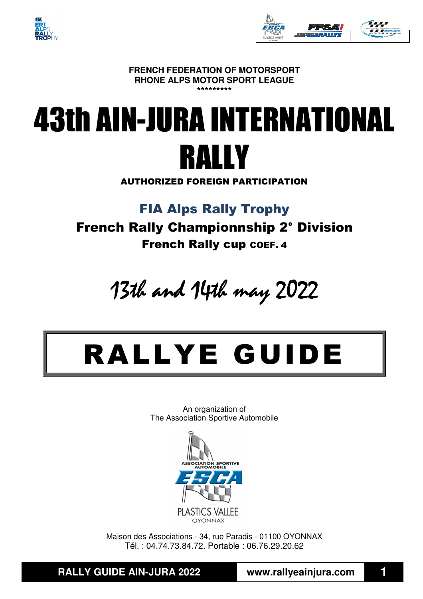



**FRENCH FEDERATION OF MOTORSPORT RHONE ALPS MOTOR SPORT LEAGUE \*\*\*\*\*\*\*\*\*** 

## 43th AIN-JURA INTERNATIONAL RALLY

AUTHORIZED FOREIGN PARTICIPATION

FIA Alps Rally Trophy

French Rally Championnship 2° Division French Rally cup COEF. 4

13th and 14th may 2022

# RALLYE GUIDE

An organization of The Association Sportive Automobile



Maison des Associations - 34, rue Paradis - 01100 OYONNAX Tél. : 04.74.73.84.72. Portable : 06.76.29.20.62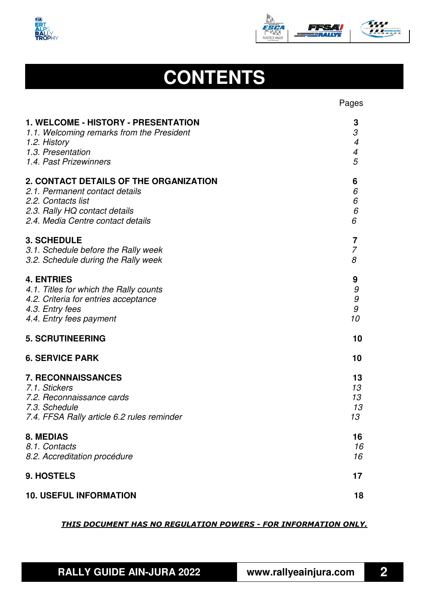



## **CONTENTS**

|                                            | Pages                       |
|--------------------------------------------|-----------------------------|
| <b>1. WELCOME - HISTORY - PRESENTATION</b> | 3                           |
| 1.1. Welcoming remarks from the President  | $\mathcal{S}_{\mathcal{S}}$ |
| 1.2. History                               | $\overline{4}$              |
| 1.3. Presentation                          | $\overline{\mathcal{A}}$    |
| 1.4. Past Prizewinners                     | 5                           |
| 2. CONTACT DETAILS OF THE ORGANIZATION     | 6                           |
| 2.1. Permanent contact details             | 6                           |
| 2.2. Contacts list                         | 6                           |
| 2.3. Rally HQ contact details              | $\it{6}$                    |
| 2.4. Media Centre contact details          | 6                           |
| <b>3. SCHEDULE</b>                         | 7                           |
| 3.1. Schedule before the Rally week        | $\overline{7}$              |
| 3.2. Schedule during the Rally week        | 8                           |
| <b>4. ENTRIES</b>                          | 9                           |
| 4.1. Titles for which the Rally counts     | 9                           |
| 4.2. Criteria for entries acceptance       | $\cal{G}$                   |
| 4.3. Entry fees                            | $\cal{G}$                   |
| 4.4. Entry fees payment                    | 10                          |
| <b>5. SCRUTINEERING</b>                    | 10                          |
| <b>6. SERVICE PARK</b>                     | 10                          |
| <b>7. RECONNAISSANCES</b>                  | 13                          |
| 7.1. Stickers                              | 13                          |
| 7.2. Reconnaissance cards                  | 13                          |
| 7.3. Schedule                              | 13                          |
| 7.4. FFSA Rally article 6.2 rules reminder | 13                          |
| <b>8. MEDIAS</b>                           | 16                          |
| 8.1. Contacts                              | 16                          |
| 8.2. Accreditation procédure               | 16                          |
| 9. HOSTELS                                 | 17                          |
| <b>10. USEFUL INFORMATION</b>              | 18                          |

#### *THIS DOCUMENT HAS NO REGULATION POWERS - FOR INFORMATION ONLY.*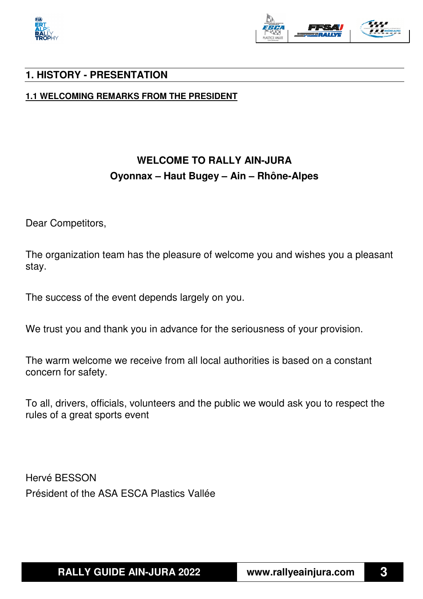



#### **1. HISTORY - PRESENTATION**

**1.1 WELCOMING REMARKS FROM THE PRESIDENT** 

## **WELCOME TO RALLY AIN-JURA Oyonnax – Haut Bugey – Ain – Rhône-Alpes**

Dear Competitors,

The organization team has the pleasure of welcome you and wishes you a pleasant stay.

The success of the event depends largely on you.

We trust you and thank you in advance for the seriousness of your provision.

The warm welcome we receive from all local authorities is based on a constant concern for safety.

To all, drivers, officials, volunteers and the public we would ask you to respect the rules of a great sports event

Hervé BESSON Président of the ASA ESCA Plastics Vallée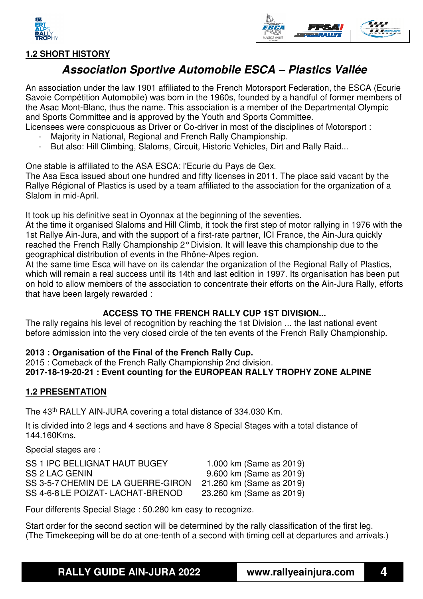



#### **1.2 SHORT HISTORY**

## **Association Sportive Automobile ESCA – Plastics Vallée**

An association under the law 1901 affiliated to the French Motorsport Federation, the ESCA (Ecurie Savoie Compétition Automobile) was born in the 1960s, founded by a handful of former members of the Asac Mont-Blanc, thus the name. This association is a member of the Departmental Olympic and Sports Committee and is approved by the Youth and Sports Committee.

Licensees were conspicuous as Driver or Co-driver in most of the disciplines of Motorsport :

- Majority in National, Regional and French Rally Championship.
- But also: Hill Climbing, Slaloms, Circuit, Historic Vehicles, Dirt and Rally Raid...

One stable is affiliated to the ASA ESCA: l'Ecurie du Pays de Gex.

The Asa Esca issued about one hundred and fifty licenses in 2011. The place said vacant by the Rallye Régional of Plastics is used by a team affiliated to the association for the organization of a Slalom in mid-April.

It took up his definitive seat in Oyonnax at the beginning of the seventies.

At the time it organised Slaloms and Hill Climb, it took the first step of motor rallying in 1976 with the 1st Rallye Ain-Jura, and with the support of a first-rate partner, ICI France, the Ain-Jura quickly reached the French Rally Championship 2° Division. It will leave this championship due to the geographical distribution of events in the Rhône-Alpes region.

At the same time Esca will have on its calendar the organization of the Regional Rally of Plastics, which will remain a real success until its 14th and last edition in 1997. Its organisation has been put on hold to allow members of the association to concentrate their efforts on the Ain-Jura Rally, efforts that have been largely rewarded :

#### **ACCESS TO THE FRENCH RALLY CUP 1ST DIVISION...**

The rally regains his level of recognition by reaching the 1st Division ... the last national event before admission into the very closed circle of the ten events of the French Rally Championship.

#### **2013 : Organisation of the Final of the French Rally Cup.**

2015 : Comeback of the French Rally Championship 2nd division. **2017-18-19-20-21 : Event counting for the EUROPEAN RALLY TROPHY ZONE ALPINE** 

#### **1.2 PRESENTATION**

The 43th RALLY AIN-JURA covering a total distance of 334.030 Km.

It is divided into 2 legs and 4 sections and have 8 Special Stages with a total distance of 144.160Kms.

Special stages are :

| 1.000 km (Same as 2019)  |
|--------------------------|
| 9.600 km (Same as 2019)  |
| 21.260 km (Same as 2019) |
| 23.260 km (Same as 2019) |
|                          |

Four differents Special Stage : 50.280 km easy to recognize.

Start order for the second section will be determined by the rally classification of the first leg. (The Timekeeping will be do at one-tenth of a second with timing cell at departures and arrivals.)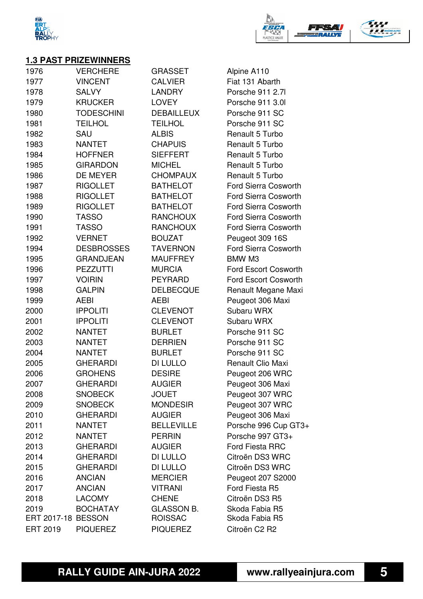



#### **1.3 PAST PRIZEWINNERS**

| 1976                      | <b>VERCHERE</b>   | <b>GRASSET</b>    | Alpine A110                 |
|---------------------------|-------------------|-------------------|-----------------------------|
| 1977                      | <b>VINCENT</b>    | <b>CALVIER</b>    | Fiat 131 Abarth             |
| 1978                      | <b>SALVY</b>      | <b>LANDRY</b>     | Porsche 911 2.7l            |
| 1979                      | <b>KRUCKER</b>    | <b>LOVEY</b>      | Porsche 911 3.0             |
| 1980                      | <b>TODESCHINI</b> | <b>DEBAILLEUX</b> | Porsche 911 SC              |
| 1981                      | <b>TEILHOL</b>    | <b>TEILHOL</b>    | Porsche 911 SC              |
| 1982                      | SAU               | <b>ALBIS</b>      | Renault 5 Turbo             |
| 1983                      | <b>NANTET</b>     | <b>CHAPUIS</b>    | Renault 5 Turbo             |
| 1984                      | <b>HOFFNER</b>    | <b>SIEFFERT</b>   | Renault 5 Turbo             |
| 1985                      | <b>GIRARDON</b>   | <b>MICHEL</b>     | Renault 5 Turbo             |
| 1986                      | DE MEYER          | <b>CHOMPAUX</b>   | Renault 5 Turbo             |
| 1987                      | <b>RIGOLLET</b>   | <b>BATHELOT</b>   | <b>Ford Sierra Cosworth</b> |
| 1988                      | <b>RIGOLLET</b>   | <b>BATHELOT</b>   | <b>Ford Sierra Cosworth</b> |
| 1989                      | <b>RIGOLLET</b>   | <b>BATHELOT</b>   | <b>Ford Sierra Cosworth</b> |
| 1990                      | <b>TASSO</b>      | <b>RANCHOUX</b>   | <b>Ford Sierra Cosworth</b> |
| 1991                      | <b>TASSO</b>      | <b>RANCHOUX</b>   | Ford Sierra Cosworth        |
| 1992                      | <b>VERNET</b>     | <b>BOUZAT</b>     | Peugeot 309 16S             |
| 1994                      | <b>DESBROSSES</b> | <b>TAVERNON</b>   | Ford Sierra Cosworth        |
| 1995                      | <b>GRANDJEAN</b>  | <b>MAUFFREY</b>   | BMW M3                      |
| 1996                      | <b>PEZZUTTI</b>   | <b>MURCIA</b>     | Ford Escort Cosworth        |
| 1997                      | <b>VOIRIN</b>     | <b>PEYRARD</b>    | Ford Escort Cosworth        |
| 1998                      | <b>GALPIN</b>     | <b>DELBECQUE</b>  | Renault Megane Maxi         |
| 1999                      | <b>AEBI</b>       | <b>AEBI</b>       | Peugeot 306 Maxi            |
| 2000                      | <b>IPPOLITI</b>   | <b>CLEVENOT</b>   | Subaru WRX                  |
| 2001                      | <b>IPPOLITI</b>   | <b>CLEVENOT</b>   | Subaru WRX                  |
| 2002                      | <b>NANTET</b>     | <b>BURLET</b>     | Porsche 911 SC              |
| 2003                      | <b>NANTET</b>     | <b>DERRIEN</b>    | Porsche 911 SC              |
| 2004                      | <b>NANTET</b>     | <b>BURLET</b>     | Porsche 911 SC              |
| 2005                      | <b>GHERARDI</b>   | DI LULLO          | Renault Clio Maxi           |
| 2006                      | <b>GROHENS</b>    | <b>DESIRE</b>     | Peugeot 206 WRC             |
| 2007                      | <b>GHERARDI</b>   | <b>AUGIER</b>     | Peugeot 306 Maxi            |
| 2008                      | <b>SNOBECK</b>    | <b>JOUET</b>      | Peugeot 307 WRC             |
| 2009                      | <b>SNOBECK</b>    | <b>MONDESIR</b>   | Peugeot 307 WRC             |
| 2010                      | <b>GHERARDI</b>   | <b>AUGIER</b>     | Peugeot 306 Maxi            |
| 2011                      | <b>NANTET</b>     | <b>BELLEVILLE</b> | Porsche 996 Cup GT3+        |
| 2012                      | <b>NANTET</b>     | <b>PERRIN</b>     | Porsche 997 GT3+            |
| 2013                      | <b>GHERARDI</b>   | <b>AUGIER</b>     | <b>Ford Fiesta RRC</b>      |
| 2014                      | <b>GHERARDI</b>   | DI LULLO          | Citroën DS3 WRC             |
| 2015                      | <b>GHERARDI</b>   | DI LULLO          | Citroën DS3 WRC             |
| 2016                      | <b>ANCIAN</b>     | <b>MERCIER</b>    | Peugeot 207 S2000           |
| 2017                      | <b>ANCIAN</b>     | <b>VITRANI</b>    | Ford Fiesta R5              |
| 2018                      | <b>LACOMY</b>     | <b>CHENE</b>      | Citroën DS3 R5              |
| 2019                      | <b>BOCHATAY</b>   | <b>GLASSON B.</b> | Skoda Fabia R5              |
| <b>ERT 2017-18 BESSON</b> |                   | <b>ROISSAC</b>    | Skoda Fabia R5              |
| <b>ERT 2019</b>           | <b>PIQUEREZ</b>   | <b>PIQUEREZ</b>   | Citroën C2 R2               |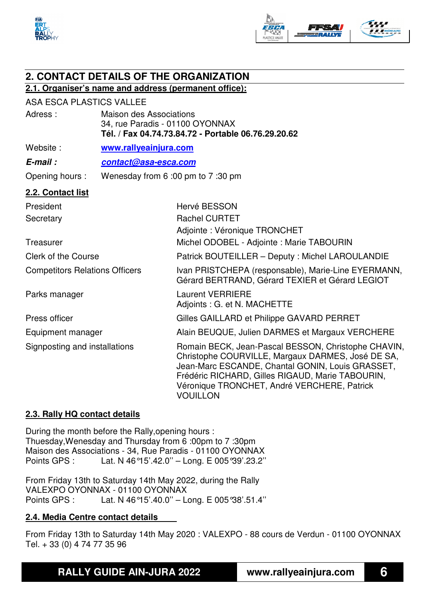



## **2. CONTACT DETAILS OF THE ORGANIZATION**

#### **2.1. Organiser's name and address (permanent office):**

#### ASA ESCA PLASTICS VALLEE

| Adress:                               | <b>Maison des Associations</b><br>34, rue Paradis - 01100 OYONNAX<br>Tél. / Fax 04.74.73.84.72 - Portable 06.76.29.20.62 |                                                                                                                                                                                                                                                                                    |  |
|---------------------------------------|--------------------------------------------------------------------------------------------------------------------------|------------------------------------------------------------------------------------------------------------------------------------------------------------------------------------------------------------------------------------------------------------------------------------|--|
| Website:                              | www.rallyeainjura.com                                                                                                    |                                                                                                                                                                                                                                                                                    |  |
| E-mail:                               | contact@asa-esca.com                                                                                                     |                                                                                                                                                                                                                                                                                    |  |
| Opening hours :                       | Wenesday from 6:00 pm to 7:30 pm                                                                                         |                                                                                                                                                                                                                                                                                    |  |
| 2.2. Contact list                     |                                                                                                                          |                                                                                                                                                                                                                                                                                    |  |
| President                             |                                                                                                                          | Hervé BESSON                                                                                                                                                                                                                                                                       |  |
| Secretary                             |                                                                                                                          | <b>Rachel CURTET</b>                                                                                                                                                                                                                                                               |  |
|                                       |                                                                                                                          | Adjointe : Véronique TRONCHET                                                                                                                                                                                                                                                      |  |
| Treasurer                             |                                                                                                                          | Michel ODOBEL - Adjointe: Marie TABOURIN                                                                                                                                                                                                                                           |  |
| <b>Clerk of the Course</b>            |                                                                                                                          | Patrick BOUTEILLER - Deputy: Michel LAROULANDIE                                                                                                                                                                                                                                    |  |
| <b>Competitors Relations Officers</b> |                                                                                                                          | Ivan PRISTCHEPA (responsable), Marie-Line EYERMANN,<br>Gérard BERTRAND, Gérard TEXIER et Gérard LEGIOT                                                                                                                                                                             |  |
| Parks manager                         |                                                                                                                          | <b>Laurent VERRIERE</b><br>Adjoints : G. et N. MACHETTE                                                                                                                                                                                                                            |  |
| Press officer                         |                                                                                                                          | Gilles GAILLARD et Philippe GAVARD PERRET                                                                                                                                                                                                                                          |  |
| Equipment manager                     |                                                                                                                          | Alain BEUQUE, Julien DARMES et Margaux VERCHERE                                                                                                                                                                                                                                    |  |
| Signposting and installations         |                                                                                                                          | Romain BECK, Jean-Pascal BESSON, Christophe CHAVIN,<br>Christophe COURVILLE, Margaux DARMES, José DE SA,<br>Jean-Marc ESCANDE, Chantal GONIN, Louis GRASSET,<br>Frédéric RICHARD, Gilles RIGAUD, Marie TABOURIN,<br>Véronique TRONCHET, André VERCHERE, Patrick<br><b>VOUILLON</b> |  |

#### **2.3. Rally HQ contact details**

During the month before the Rally,opening hours : Thuesday,Wenesday and Thursday from 6 :00pm to 7 :30pm Maison des Associations - 34, Rue Paradis - 01100 OYONNAX Points GPS : Lat. N 46°15'.42.0'' – Long. E 005°39'.23.2''

From Friday 13th to Saturday 14th May 2022, during the Rally VALEXPO OYONNAX - 01100 OYONNAX Points GPS : Lat. N 46°15'.40.0'' – Long. E 005°38'.51.4''

#### **2.4. Media Centre contact details**

From Friday 13th to Saturday 14th May 2020 : VALEXPO - 88 cours de Verdun - 01100 OYONNAX Tel. + 33 (0) 4 74 77 35 96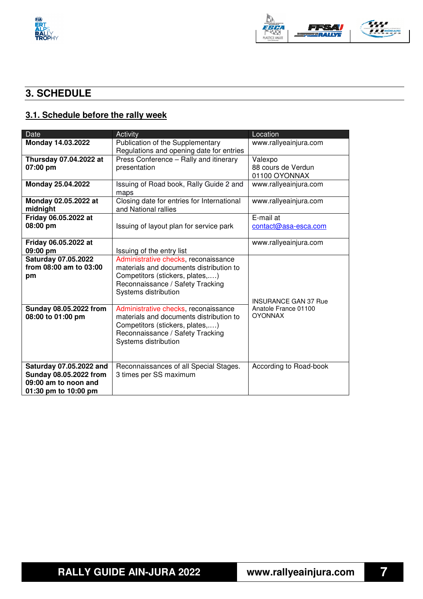



## **3. SCHEDULE**

## **3.1. Schedule before the rally week**

| <b>Date</b>                                 | Activity                                                                        | Location                               |
|---------------------------------------------|---------------------------------------------------------------------------------|----------------------------------------|
| Monday 14.03.2022                           | Publication of the Supplementary                                                | www.rallyeainjura.com                  |
|                                             | Regulations and opening date for entries                                        |                                        |
| Thursday 07.04.2022 at                      | Press Conference - Rally and itinerary                                          | Valexpo                                |
| 07:00 pm                                    | presentation                                                                    | 88 cours de Verdun                     |
|                                             |                                                                                 | 01100 OYONNAX                          |
| Monday 25.04.2022                           | Issuing of Road book, Rally Guide 2 and<br>maps                                 | www.rallyeainjura.com                  |
| Monday 02.05.2022 at<br>midnight            | Closing date for entries for International<br>and National rallies              | www.rallyeainjura.com                  |
| Friday 06.05.2022 at                        |                                                                                 | E-mail at                              |
| 08:00 pm                                    | Issuing of layout plan for service park                                         | contact@asa-esca.com                   |
|                                             |                                                                                 |                                        |
| Friday 06.05.2022 at                        |                                                                                 | www.rallyeainjura.com                  |
| 09:00 pm                                    | Issuing of the entry list                                                       |                                        |
| <b>Saturday 07.05.2022</b>                  | Administrative checks, reconaissance                                            |                                        |
| from 08:00 am to 03:00                      | materials and documents distribution to                                         |                                        |
| pm                                          | Competitors (stickers, plates,)                                                 |                                        |
|                                             | Reconnaissance / Safety Tracking                                                |                                        |
|                                             | Systems distribution                                                            |                                        |
|                                             |                                                                                 | <b>INSURANCE GAN 37 Rue</b>            |
| Sunday 08.05.2022 from<br>08:00 to 01:00 pm | Administrative checks, reconaissance<br>materials and documents distribution to | Anatole France 01100<br><b>OYONNAX</b> |
|                                             | Competitors (stickers, plates,)                                                 |                                        |
|                                             | Reconnaissance / Safety Tracking                                                |                                        |
|                                             | Systems distribution                                                            |                                        |
|                                             |                                                                                 |                                        |
|                                             |                                                                                 |                                        |
| Saturday 07.05.2022 and                     | Reconnaissances of all Special Stages.                                          | According to Road-book                 |
| Sunday 08.05.2022 from                      | 3 times per SS maximum                                                          |                                        |
| 09:00 am to noon and                        |                                                                                 |                                        |
| 01:30 pm to 10:00 pm                        |                                                                                 |                                        |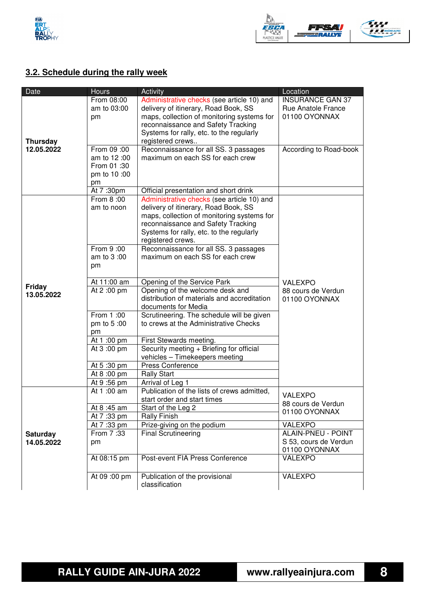



## **3.2. Schedule during the rally week**

| Date            | <b>Hours</b> | Activity                                    | Location                            |
|-----------------|--------------|---------------------------------------------|-------------------------------------|
|                 | From 08:00   | Administrative checks (see article 10) and  | <b>INSURANCE GAN 37</b>             |
|                 | am to 03:00  | delivery of itinerary, Road Book, SS        | <b>Rue Anatole France</b>           |
|                 | pm           | maps, collection of monitoring systems for  | 01100 OYONNAX                       |
|                 |              | reconnaissance and Safety Tracking          |                                     |
|                 |              | Systems for rally, etc. to the regularly    |                                     |
| <b>Thursday</b> |              | registered crews                            |                                     |
| 12.05.2022      | From 09:00   | Reconnaissance for all SS. 3 passages       | According to Road-book              |
|                 | am to 12:00  | maximum on each SS for each crew            |                                     |
|                 | From 01:30   |                                             |                                     |
|                 | pm to 10 :00 |                                             |                                     |
|                 | pm           |                                             |                                     |
|                 | At 7:30pm    | Official presentation and short drink       |                                     |
|                 | From 8:00    | Administrative checks (see article 10) and  |                                     |
|                 | am to noon   | delivery of itinerary, Road Book, SS        |                                     |
|                 |              | maps, collection of monitoring systems for  |                                     |
|                 |              | reconnaissance and Safety Tracking          |                                     |
|                 |              | Systems for rally, etc. to the regularly    |                                     |
|                 |              | registered crews.                           |                                     |
|                 | From 9:00    | Reconnaissance for all SS. 3 passages       |                                     |
|                 | am to 3:00   | maximum on each SS for each crew            |                                     |
|                 | pm           |                                             |                                     |
|                 |              |                                             |                                     |
|                 | At 11:00 am  | Opening of the Service Park                 | <b>VALEXPO</b>                      |
| <b>Friday</b>   | At 2:00 pm   | Opening of the welcome desk and             | 88 cours de Verdun                  |
| 13.05.2022      |              | distribution of materials and accreditation | 01100 OYONNAX                       |
|                 |              | documents for Media                         |                                     |
|                 | From 1:00    | Scrutineering. The schedule will be given   |                                     |
|                 | pm to 5:00   | to crews at the Administrative Checks       |                                     |
|                 | pm           |                                             |                                     |
|                 | At 1:00 pm   | First Stewards meeting.                     |                                     |
|                 | At 3:00 pm   | Security meeting + Briefing for official    |                                     |
|                 |              | vehicles - Timekeepers meeting              |                                     |
|                 | At 5:30 pm   | Press Conference                            |                                     |
|                 | At 8:00 pm   | <b>Rally Start</b>                          |                                     |
|                 | At 9:56 pm   | Arrival of Leg 1                            |                                     |
|                 | At 1:00 am   | Publication of the lists of crews admitted, | <b>VALEXPO</b>                      |
|                 |              | start order and start times                 |                                     |
|                 | At 8:45 am   | Start of the Leg 2                          | 88 cours de Verdun<br>01100 OYONNAX |
|                 | At 7:33 pm   | <b>Rally Finish</b>                         |                                     |
|                 | At 7:33 pm   | Prize-giving on the podium                  | VALEXPO                             |
| <b>Saturday</b> | From 7:33    | Final Scrutineering                         | <b>ALAIN-PNEU - POINT</b>           |
| 14.05.2022      | pm           |                                             | S 53, cours de Verdun               |
|                 |              |                                             | 01100 OYONNAX                       |
|                 | At 08:15 pm  | Post-event FIA Press Conference             | <b>VALEXPO</b>                      |
|                 |              |                                             |                                     |
|                 | At 09:00 pm  | Publication of the provisional              | <b>VALEXPO</b>                      |
|                 |              | classification                              |                                     |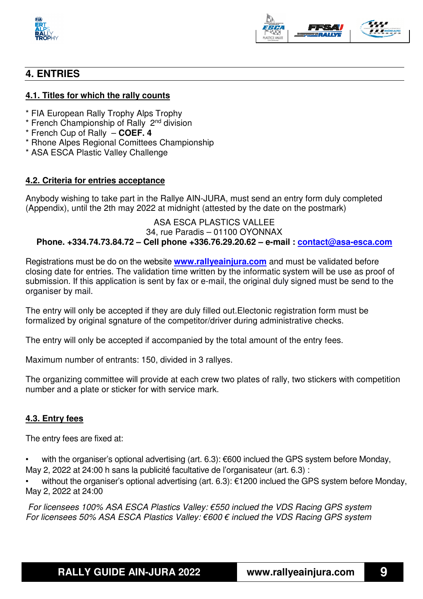



### **4. ENTRIES**

#### **4.1. Titles for which the rally counts**

- \* FIA European Rally Trophy Alps Trophy
- \* French Championship of Rally 2nd division
- \* French Cup of Rally – **COEF. 4**
- \* Rhone Alpes Regional Comittees Championship
- \* ASA ESCA Plastic Valley Challenge

#### **4.2. Criteria for entries acceptance**

Anybody wishing to take part in the Rallye AIN-JURA, must send an entry form duly completed (Appendix), until the 2th may 2022 at midnight (attested by the date on the postmark)

#### ASA ESCA PLASTICS VALLEE 34, rue Paradis – 01100 OYONNAX **Phone. +334.74.73.84.72 – Cell phone +336.76.29.20.62 – e-mail : contact@asa-esca.com**

Registrations must be do on the website **www.rallyeainjura.com** and must be validated before closing date for entries. The validation time written by the informatic system will be use as proof of submission. If this application is sent by fax or e-mail, the original duly signed must be send to the organiser by mail.

The entry will only be accepted if they are duly filled out.Electonic registration form must be formalized by original sgnature of the competitor/driver during administrative checks.

The entry will only be accepted if accompanied by the total amount of the entry fees.

Maximum number of entrants: 150, divided in 3 rallyes.

The organizing committee will provide at each crew two plates of rally, two stickers with competition number and a plate or sticker for with service mark.

#### **4.3. Entry fees**

The entry fees are fixed at:

with the organiser's optional advertising (art. 6.3): €600 inclued the GPS system before Monday, May 2, 2022 at 24:00 h sans la publicité facultative de l'organisateur (art. 6.3) :

• without the organiser's optional advertising (art. 6.3): €1200 inclued the GPS system before Monday, May 2, 2022 at 24:00

 For licensees 100% ASA ESCA Plastics Valley: €550 inclued the VDS Racing GPS system For licensees 50% ASA ESCA Plastics Valley:  $\epsilon$ 600  $\epsilon$  inclued the VDS Racing GPS system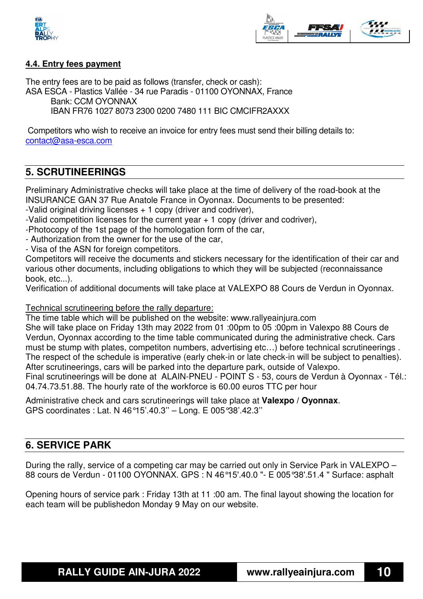



#### **4.4. Entry fees payment**

The entry fees are to be paid as follows (transfer, check or cash): ASA ESCA - Plastics Vallée - 34 rue Paradis - 01100 OYONNAX, France Bank: CCM OYONNAX IBAN FR76 1027 8073 2300 0200 7480 111 BIC CMCIFR2AXXX

 Competitors who wish to receive an invoice for entry fees must send their billing details to: contact@asa-esca.com

#### **5. SCRUTINEERINGS**

Preliminary Administrative checks will take place at the time of delivery of the road-book at the INSURANCE GAN 37 Rue Anatole France in Oyonnax. Documents to be presented:

-Valid original driving licenses + 1 copy (driver and codriver),

-Valid competition licenses for the current year  $+1$  copy (driver and codriver),

-Photocopy of the 1st page of the homologation form of the car,

- Authorization from the owner for the use of the car,

- Visa of the ASN for foreign competitors.

Competitors will receive the documents and stickers necessary for the identification of their car and various other documents, including obligations to which they will be subjected (reconnaissance book, etc...).

Verification of additional documents will take place at VALEXPO 88 Cours de Verdun in Oyonnax.

#### Technical scrutineering before the rally departure:

The time table which will be published on the website: www.rallyeainjura.com She will take place on Friday 13th may 2022 from 01 :00pm to 05 :00pm in Valexpo 88 Cours de Verdun, Oyonnax according to the time table communicated during the administrative check. Cars

must be stump with plates, competiton numbers, advertising etc…) before technical scrutineerings . The respect of the schedule is imperative (early chek-in or late check-in will be subject to penalties). After scrutineerings, cars will be parked into the departure park, outside of Valexpo.

Final scrutineerings will be done at ALAIN-PNEU - POINT S - 53, cours de Verdun à Oyonnax - Tél.: 04.74.73.51.88. The hourly rate of the workforce is 60.00 euros TTC per hour

Administrative check and cars scrutineerings will take place at **Valexpo / Oyonnax**. GPS coordinates : Lat. N 46°15'.40.3'' – Long. E 005°38'.42.3''

#### **6. SERVICE PARK**

During the rally, service of a competing car may be carried out only in Service Park in VALEXPO – 88 cours de Verdun - 01100 OYONNAX. GPS : N 46°15'.40.0 "- E 005°38'.51.4 " Surface: asphalt

Opening hours of service park : Friday 13th at 11 :00 am. The final layout showing the location for each team will be publishedon Monday 9 May on our website.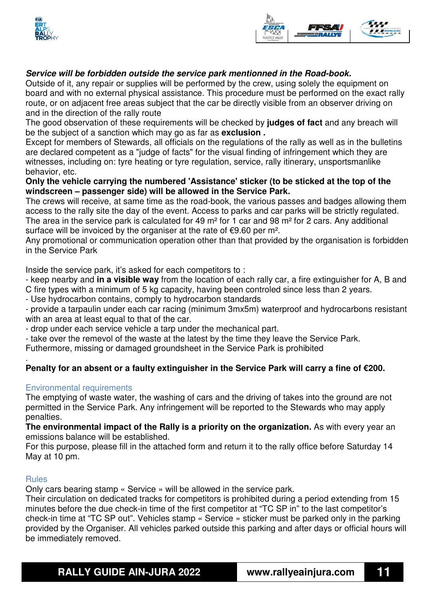



#### **Service will be forbidden outside the service park mentionned in the Road-book.**

Outside of it, any repair or supplies will be performed by the crew, using solely the equipment on board and with no external physical assistance. This procedure must be performed on the exact rally route, or on adjacent free areas subject that the car be directly visible from an observer driving on and in the direction of the rally route

The good observation of these requirements will be checked by **judges of fact** and any breach will be the subject of a sanction which may go as far as **exclusion .**

Except for members of Stewards, all officials on the regulations of the rally as well as in the bulletins are declared competent as a "judge of facts" for the visual finding of infringement which they are witnesses, including on: tyre heating or tyre regulation, service, rally itinerary, unsportsmanlike behavior, etc.

#### **Only the vehicle carrying the numbered 'Assistance' sticker (to be sticked at the top of the windscreen – passenger side) will be allowed in the Service Park.**

The crews will receive, at same time as the road-book, the various passes and badges allowing them access to the rally site the day of the event. Access to parks and car parks will be strictly regulated. The area in the service park is calculated for 49 m<sup>2</sup> for 1 car and 98 m<sup>2</sup> for 2 cars. Any additional surface will be invoiced by the organiser at the rate of €9.60 per m<sup>2</sup>.

Any promotional or communication operation other than that provided by the organisation is forbidden in the Service Park

Inside the service park, it's asked for each competitors to :

- keep nearby and **in a visible way** from the location of each rally car, a fire extinguisher for A, B and C fire types with a minimum of 5 kg capacity, having been controled since less than 2 years.

- Use hydrocarbon contains, comply to hydrocarbon standards

- provide a tarpaulin under each car racing (minimum 3mx5m) waterproof and hydrocarbons resistant with an area at least equal to that of the car.

- drop under each service vehicle a tarp under the mechanical part.

- take over the remevol of the waste at the latest by the time they leave the Service Park.

Futhermore, missing or damaged groundsheet in the Service Park is prohibited

#### . **Penalty for an absent or a faulty extinguisher in the Service Park will carry a fine of €200.**

#### Environmental requirements

The emptying of waste water, the washing of cars and the driving of takes into the ground are not permitted in the Service Park. Any infringement will be reported to the Stewards who may apply penalties.

**The environmental impact of the Rally is a priority on the organization.** As with every year an emissions balance will be established.

For this purpose, please fill in the attached form and return it to the rally office before Saturday 14 May at 10 pm.

#### Rules

Only cars bearing stamp « Service » will be allowed in the service park.

Their circulation on dedicated tracks for competitors is prohibited during a period extending from 15 minutes before the due check-in time of the first competitor at "TC SP in" to the last competitor's check-in time at "TC SP out". Vehicles stamp « Service » sticker must be parked only in the parking provided by the Organiser. All vehicles parked outside this parking and after days or official hours will be immediately removed.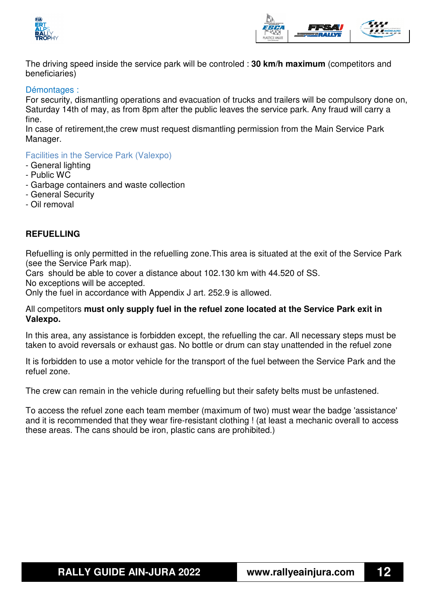



The driving speed inside the service park will be controled : **30 km/h maximum** (competitors and beneficiaries)

#### Démontages :

For security, dismantling operations and evacuation of trucks and trailers will be compulsory done on, Saturday 14th of may, as from 8pm after the public leaves the service park. Any fraud will carry a fine.

In case of retirement,the crew must request dismantling permission from the Main Service Park Manager.

Facilities in the Service Park (Valexpo)

- General lighting
- Public WC
- Garbage containers and waste collection
- General Security
- Oil removal

#### **REFUELLING**

Refuelling is only permitted in the refuelling zone.This area is situated at the exit of the Service Park (see the Service Park map).

Cars should be able to cover a distance about 102.130 km with 44.520 of SS.

No exceptions will be accepted.

Only the fuel in accordance with Appendix J art. 252.9 is allowed.

#### All competitors **must only supply fuel in the refuel zone located at the Service Park exit in Valexpo.**

In this area, any assistance is forbidden except, the refuelling the car. All necessary steps must be taken to avoid reversals or exhaust gas. No bottle or drum can stay unattended in the refuel zone

It is forbidden to use a motor vehicle for the transport of the fuel between the Service Park and the refuel zone.

The crew can remain in the vehicle during refuelling but their safety belts must be unfastened.

To access the refuel zone each team member (maximum of two) must wear the badge 'assistance' and it is recommended that they wear fire-resistant clothing ! (at least a mechanic overall to access these areas. The cans should be iron, plastic cans are prohibited.)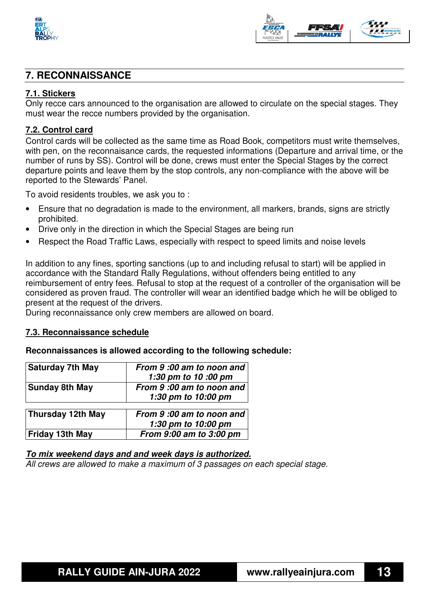



#### **7. RECONNAISSANCE**

#### **7.1. Stickers**

Only recce cars announced to the organisation are allowed to circulate on the special stages. They must wear the recce numbers provided by the organisation.

#### **7.2. Control card**

Control cards will be collected as the same time as Road Book, competitors must write themselves, with pen, on the reconnaisance cards, the requested informations (Departure and arrival time, or the number of runs by SS). Control will be done, crews must enter the Special Stages by the correct departure points and leave them by the stop controls, any non-compliance with the above will be reported to the Stewards' Panel.

To avoid residents troubles, we ask you to :

- Ensure that no degradation is made to the environment, all markers, brands, signs are strictly prohibited.
- Drive only in the direction in which the Special Stages are being run
- Respect the Road Traffic Laws, especially with respect to speed limits and noise levels

In addition to any fines, sporting sanctions (up to and including refusal to start) will be applied in accordance with the Standard Rally Regulations, without offenders being entitled to any reimbursement of entry fees. Refusal to stop at the request of a controller of the organisation will be considered as proven fraud. The controller will wear an identified badge which he will be obliged to present at the request of the drivers.

During reconnaissance only crew members are allowed on board.

#### **7.3. Reconnaissance schedule**

#### **Reconnaissances is allowed according to the following schedule:**

| <b>Saturday 7th May</b> | From 9:00 am to noon and<br>1:30 pm to 10 :00 pm |
|-------------------------|--------------------------------------------------|
| <b>Sunday 8th May</b>   | From 9:00 am to noon and<br>1:30 pm to 10:00 pm  |
| Thursday 12th May       | From 9:00 am to noon and                         |

| <b>THATSURY TEM INGY</b> | 1:30 pm to 10:00 pm     |
|--------------------------|-------------------------|
| Friday 13th May          | From 9:00 am to 3:00 pm |

#### **To mix weekend days and and week days is authorized.**

All crews are allowed to make a maximum of 3 passages on each special stage.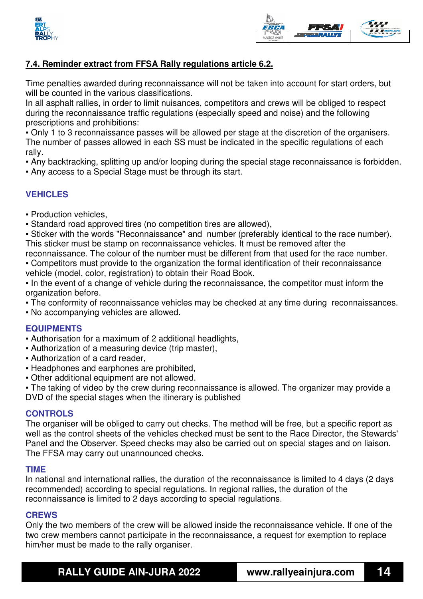



#### **7.4. Reminder extract from FFSA Rally regulations article 6.2.**

Time penalties awarded during reconnaissance will not be taken into account for start orders, but will be counted in the various classifications.

In all asphalt rallies, in order to limit nuisances, competitors and crews will be obliged to respect during the reconnaissance traffic regulations (especially speed and noise) and the following prescriptions and prohibitions:

▪ Only 1 to 3 reconnaissance passes will be allowed per stage at the discretion of the organisers. The number of passes allowed in each SS must be indicated in the specific regulations of each rally.

▪ Any backtracking, splitting up and/or looping during the special stage reconnaissance is forbidden.

▪ Any access to a Special Stage must be through its start.

#### **VEHICLES**

▪ Production vehicles,

▪ Standard road approved tires (no competition tires are allowed),

▪ Sticker with the words "Reconnaissance" and number (preferably identical to the race number). This sticker must be stamp on reconnaissance vehicles. It must be removed after the

reconnaissance. The colour of the number must be different from that used for the race number.

• Competitors must provide to the organization the formal identification of their reconnaissance vehicle (model, color, registration) to obtain their Road Book.

▪ In the event of a change of vehicle during the reconnaissance, the competitor must inform the organization before.

- The conformity of reconnaissance vehicles may be checked at any time during reconnaissances.
- No accompanying vehicles are allowed.

#### **EQUIPMENTS**

- Authorisation for a maximum of 2 additional headlights,
- Authorization of a measuring device (trip master),
- Authorization of a card reader,
- Headphones and earphones are prohibited,
- Other additional equipment are not allowed.

• The taking of video by the crew during reconnaissance is allowed. The organizer may provide a DVD of the special stages when the itinerary is published

#### **CONTROLS**

The organiser will be obliged to carry out checks. The method will be free, but a specific report as well as the control sheets of the vehicles checked must be sent to the Race Director, the Stewards' Panel and the Observer. Speed checks may also be carried out on special stages and on liaison. The FFSA may carry out unannounced checks.

#### **TIME**

In national and international rallies, the duration of the reconnaissance is limited to 4 days (2 days recommended) according to special regulations. In regional rallies, the duration of the reconnaissance is limited to 2 days according to special regulations.

#### **CREWS**

Only the two members of the crew will be allowed inside the reconnaissance vehicle. If one of the two crew members cannot participate in the reconnaissance, a request for exemption to replace him/her must be made to the rally organiser.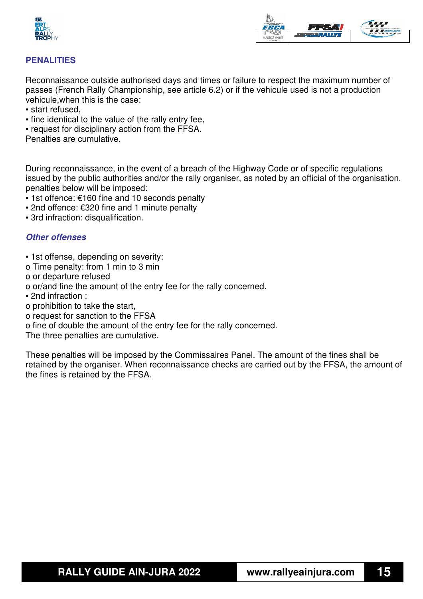



#### **PENALITIES**

Reconnaissance outside authorised days and times or failure to respect the maximum number of passes (French Rally Championship, see article 6.2) or if the vehicule used is not a production vehicule,when this is the case:

- start refused,
- fine identical to the value of the rally entry fee,
- request for disciplinary action from the FFSA.

Penalties are cumulative.

During reconnaissance, in the event of a breach of the Highway Code or of specific regulations issued by the public authorities and/or the rally organiser, as noted by an official of the organisation, penalties below will be imposed:

- $1$ st offence: €160 fine and 10 seconds penalty
- 2nd offence: €320 fine and 1 minute penalty
- 3rd infraction: disqualification.

#### **Other offenses**

- 1st offense, depending on severity:
- o Time penalty: from 1 min to 3 min
- o or departure refused
- o or/and fine the amount of the entry fee for the rally concerned.
- 2nd infraction :
- o prohibition to take the start,
- o request for sanction to the FFSA
- o fine of double the amount of the entry fee for the rally concerned.

The three penalties are cumulative.

These penalties will be imposed by the Commissaires Panel. The amount of the fines shall be retained by the organiser. When reconnaissance checks are carried out by the FFSA, the amount of the fines is retained by the FFSA.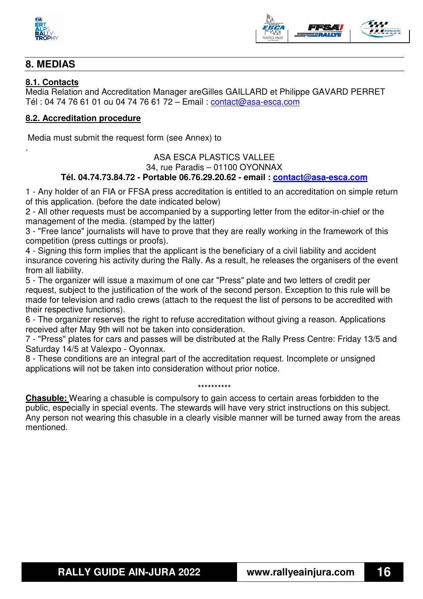



#### **8. MEDIAS**

#### **8.1. Contacts**

.

Media Relation and Accreditation Manager are Gilles GAILLARD et Philippe GAVARD PERRET Tél : 04 74 76 61 01 ou 04 74 76 61 72 – Email : contact@asa-esca.com

#### **8.2. Accreditation procedure**

Media must submit the request form (see Annex) to

#### ASA ESCA PLASTICS VALLEE 34, rue Paradis – 01100 OYONNAX **Tél. 04.74.73.84.72 - Portable 06.76.29.20.62 - email : contact@asa-esca.com**

1 - Any holder of an FIA or FFSA press accreditation is entitled to an accreditation on simple return of this application. (before the date indicated below)

2 - All other requests must be accompanied by a supporting letter from the editor-in-chief or the management of the media. (stamped by the latter)

3 - "Free lance" journalists will have to prove that they are really working in the framework of this competition (press cuttings or proofs).

4 - Signing this form implies that the applicant is the beneficiary of a civil liability and accident insurance covering his activity during the Rally. As a result, he releases the organisers of the event from all liability.

5 - The organizer will issue a maximum of one car "Press" plate and two letters of credit per request, subject to the justification of the work of the second person. Exception to this rule will be made for television and radio crews (attach to the request the list of persons to be accredited with their respective functions).

6 - The organizer reserves the right to refuse accreditation without giving a reason. Applications received after May 9th will not be taken into consideration.

7 - "Press" plates for cars and passes will be distributed at the Rally Press Centre: Friday 13/5 and Saturday 14/5 at Valexpo - Oyonnax.

8 - These conditions are an integral part of the accreditation request. Incomplete or unsigned applications will not be taken into consideration without prior notice.

#### \*\*\*\*\*\*\*\*\*\*

**Chasuble:** Wearing a chasuble is compulsory to gain access to certain areas forbidden to the public, especially in special events. The stewards will have very strict instructions on this subject. Any person not wearing this chasuble in a clearly visible manner will be turned away from the areas mentioned.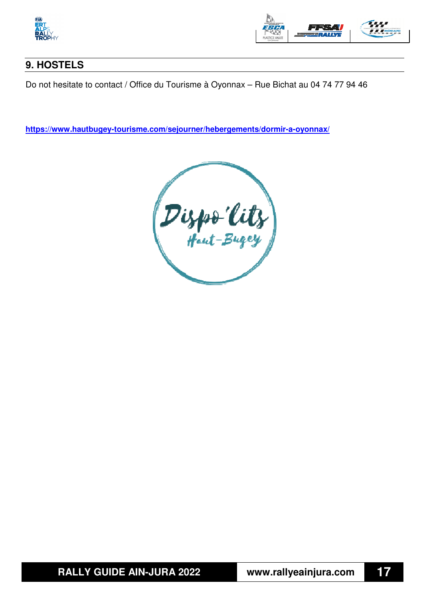



## **9. HOSTELS**

Do not hesitate to contact / Office du Tourisme à Oyonnax – Rue Bichat au 04 74 77 94 46

**https://www.hautbugey-tourisme.com/sejourner/hebergements/dormir-a-oyonnax/**

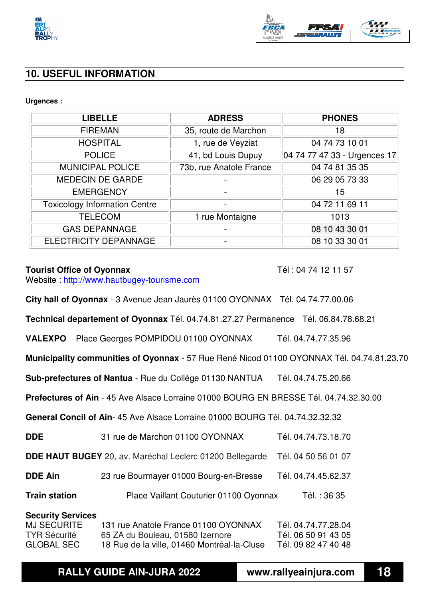



#### **10. USEFUL INFORMATION**

#### **Urgences :**

| <b>LIBELLE</b>                       | <b>ADRESS</b>           | <b>PHONES</b>                |
|--------------------------------------|-------------------------|------------------------------|
| <b>FIREMAN</b>                       | 35, route de Marchon    | 18                           |
| <b>HOSPITAL</b>                      | 1, rue de Veyziat       | 04 74 73 10 01               |
| <b>POLICE</b>                        | 41, bd Louis Dupuy      | 04 74 77 47 33 - Urgences 17 |
| <b>MUNICIPAL POLICE</b>              | 73b, rue Anatole France | 04 74 81 35 35               |
| <b>MEDECIN DE GARDE</b>              |                         | 06 29 05 73 33               |
| <b>EMERGENCY</b>                     |                         | 15                           |
| <b>Toxicology Information Centre</b> |                         | 04 72 11 69 11               |
| <b>TELECOM</b>                       | 1 rue Montaigne         | 1013                         |
| <b>GAS DEPANNAGE</b>                 |                         | 08 10 43 30 01               |
| <b>ELECTRICITY DEPANNAGE</b>         |                         | 08 10 33 30 01               |

#### **Tourist Office of Oyonnax Tel : 04 74 12 11 57**

Website : http://www.hautbugey-tourisme.com

**City hall of Oyonnax** - 3 Avenue Jean Jaurès 01100 OYONNAX Tél. 04.74.77.00.06

**Technical departement of Oyonnax** Tél. 04.74.81.27.27 Permanence Tél. 06.84.78.68.21

**VALEXPO** Place Georges POMPIDOU 01100 OYONNAX Tél. 04.74.77.35.96

**Municipality communities of Oyonnax** - 57 Rue René Nicod 01100 OYONNAX Tél. 04.74.81.23.70

**Sub-prefectures of Nantua** - Rue du Collège 01130 NANTUA Tél. 04.74.75.20.66

**Prefectures of Ain** - 45 Ave Alsace Lorraine 01000 BOURG EN BRESSE Tél. 04.74.32.30.00

**General Concil of Ain**- 45 Ave Alsace Lorraine 01000 BOURG Tél. 04.74.32.32.32

| 31 rue de Marchon 01100 OYONNAX<br><b>DDE</b> | Tél. 04.74.73.18.70 |
|-----------------------------------------------|---------------------|
|-----------------------------------------------|---------------------|

**DDE HAUT BUGEY** 20, av. Maréchal Leclerc 01200 Bellegarde Tél. 04 50 56 01 07

**DDE Ain** 23 rue Bourmayer 01000 Bourg-en-Bresse Tél. 04.74.45.62.37

**Train station** Place Vaillant Couturier 01100 Oyonnax Tél.: 36 35

#### **Security Services**

| MJ SECURITE         | 131 rue Anatole France 01100 OYONNAX        | Tél. 04.74.77.28.04 |
|---------------------|---------------------------------------------|---------------------|
| <b>TYR Sécurité</b> | 65 ZA du Bouleau, 01580 Izernore            | Tél. 06 50 91 43 05 |
| <b>GLOBAL SEC</b>   | 18 Rue de la ville, 01460 Montréal-la-Cluse | Tél. 09 82 47 40 48 |